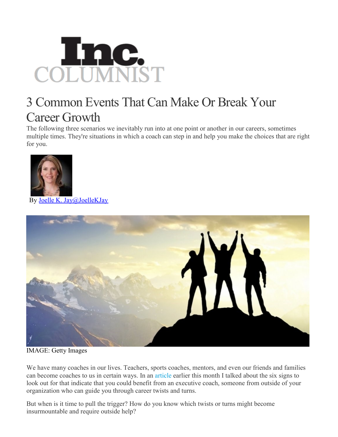

## 3 Common Events That Can Make Or Break Your Career Growth

The following three scenarios we inevitably run into at one point or another in our careers, sometimes multiple times. They're situations in which a coach can step in and help you make the choices that are right for you.



By Joelle K. [Jay@JoelleKJay](http://www.inc.com/author/joelle-k-jay)



IMAGE: Getty Images

We have many coaches in our lives. Teachers, sports coaches, mentors, and even our friends and families can become coaches to us in certain ways. In an [article](http://www.inc.com/joelle-k-jay/6-signs-you-need-a-coach.html) earlier this month I talked about the six signs to look out for that indicate that you could benefit from an executive coach, someone from outside of your organization who can guide you through career twists and turns.

But when is it time to pull the trigger? How do you know which twists or turns might become insurmountable and require outside help?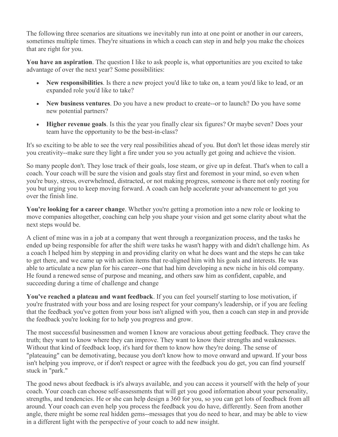The following three scenarios are situations we inevitably run into at one point or another in our careers, sometimes multiple times. They're situations in which a coach can step in and help you make the choices that are right for you.

**You have an aspiration**. The question I like to ask people is, what opportunities are you excited to take advantage of over the next year? Some possibilities:

- **New responsibilities**. Is there a new project you'd like to take on, a team you'd like to lead, or an expanded role you'd like to take?
- **New business ventures**. Do you have a new product to create--or to launch? Do you have some new potential partners?
- **Higher revenue goals**. Is this the year you finally clear six figures? Or maybe seven? Does your team have the opportunity to be the best-in-class?

It's so exciting to be able to see the very real possibilities ahead of you. But don't let those ideas merely stir you creativity--make sure they light a fire under you so you actually get going and achieve the vision.

So many people don't. They lose track of their goals, lose steam, or give up in defeat. That's when to call a coach. Your coach will be sure the vision and goals stay first and foremost in your mind, so even when you're busy, stress, overwhelmed, distracted, or not making progress, someone is there not only rooting for you but urging you to keep moving forward. A coach can help accelerate your advancement to get you over the finish line.

**You're looking for a career change**. Whether you're getting a promotion into a new role or looking to move companies altogether, coaching can help you shape your vision and get some clarity about what the next steps would be.

A client of mine was in a job at a company that went through a reorganization process, and the tasks he ended up being responsible for after the shift were tasks he wasn't happy with and didn't challenge him. As a coach I helped him by stepping in and providing clarity on what he does want and the steps he can take to get there, and we came up with action items that re-aligned him with his goals and interests. He was able to articulate a new plan for his career--one that had him developing a new niche in his old company. He found a renewed sense of purpose and meaning, and others saw him as confident, capable, and succeeding during a time of challenge and change

**You've reached a plateau and want feedback**. If you can feel yourself starting to lose motivation, if you're frustrated with your boss and are losing respect for your company's leadership, or if you are feeling that the feedback you've gotten from your boss isn't aligned with you, then a coach can step in and provide the feedback you're looking for to help you progress and grow.

The most successful businessmen and women I know are voracious about getting feedback. They crave the truth; they want to know where they can improve. They want to know their strengths and weaknesses. Without that kind of feedback loop, it's hard for them to know how they're doing. The sense of "plateauing" can be demotivating, because you don't know how to move onward and upward. If your boss isn't helping you improve, or if don't respect or agree with the feedback you do get, you can find yourself stuck in "park."

The good news about feedback is it's always available, and you can access it yourself with the help of your coach. Your coach can choose self-assessments that will get you good information about your personality, strengths, and tendencies. He or she can help design a 360 for you, so you can get lots of feedback from all around. Your coach can even help you process the feedback you do have, differently. Seen from another angle, there might be some real hidden gems--messages that you do need to hear, and may be able to view in a different light with the perspective of your coach to add new insight.